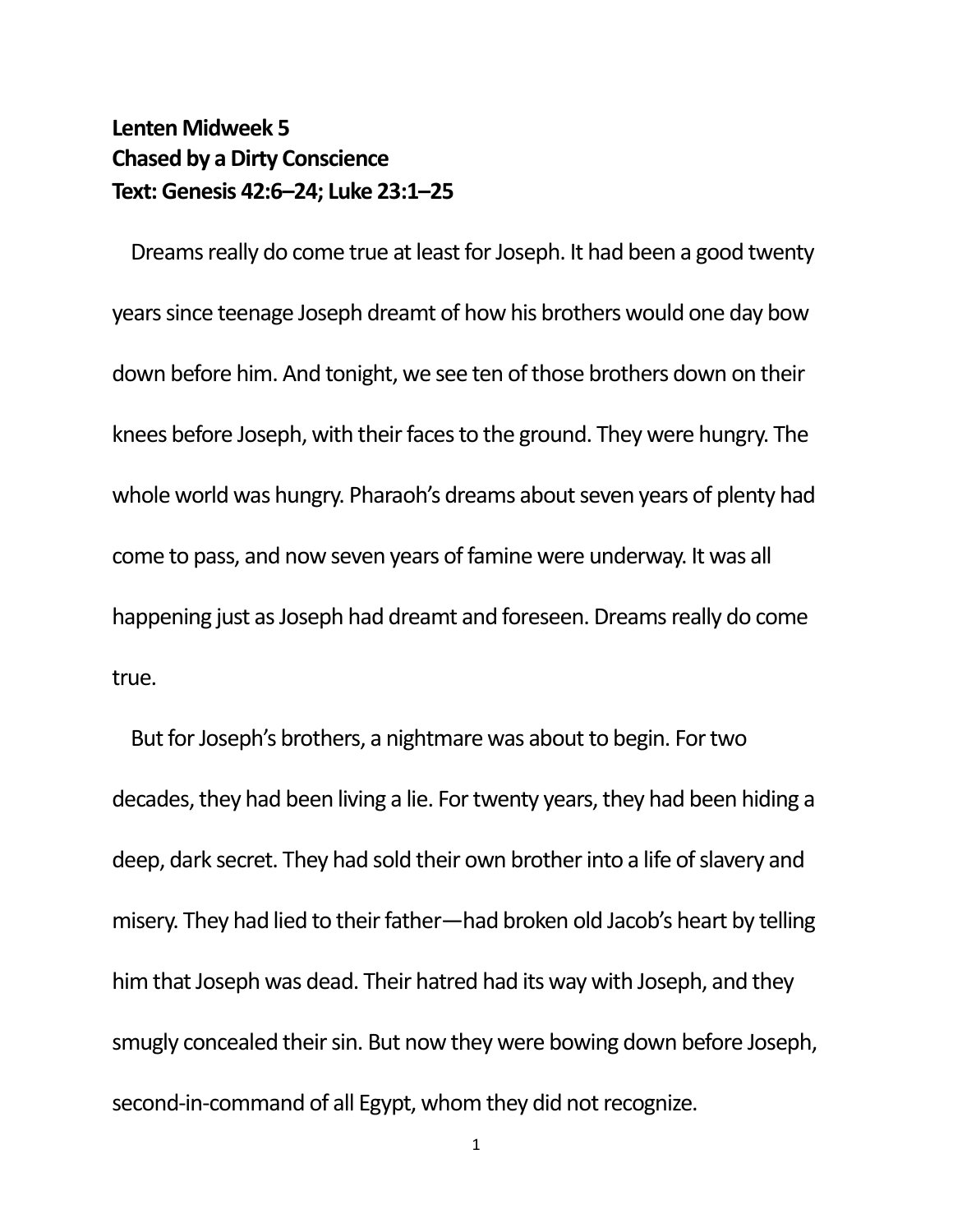## **Lenten Midweek 5 Chased by a Dirty Conscience Text: Genesis 42:6–24; Luke 23:1–25**

Dreams really do come true at least for Joseph. It had been a good twenty years since teenage Joseph dreamt of how his brothers would one day bow down before him. And tonight, we see ten of those brothers down on their knees before Joseph, with their faces to the ground. They were hungry. The whole world was hungry. Pharaoh's dreams about seven years of plenty had come to pass, and now seven years of famine were underway. It was all happening just as Joseph had dreamt and foreseen. Dreams really do come true.

But for Joseph's brothers, a nightmare was about to begin. For two decades, they had been living a lie. For twenty years, they had been hiding a deep, dark secret. They had sold their own brother into a life of slavery and misery. They had lied to their father—had broken old Jacob's heart by telling him that Joseph was dead. Their hatred had its way with Joseph, and they smugly concealed their sin. But now they were bowing down before Joseph, second-in-command of all Egypt, whom they did not recognize.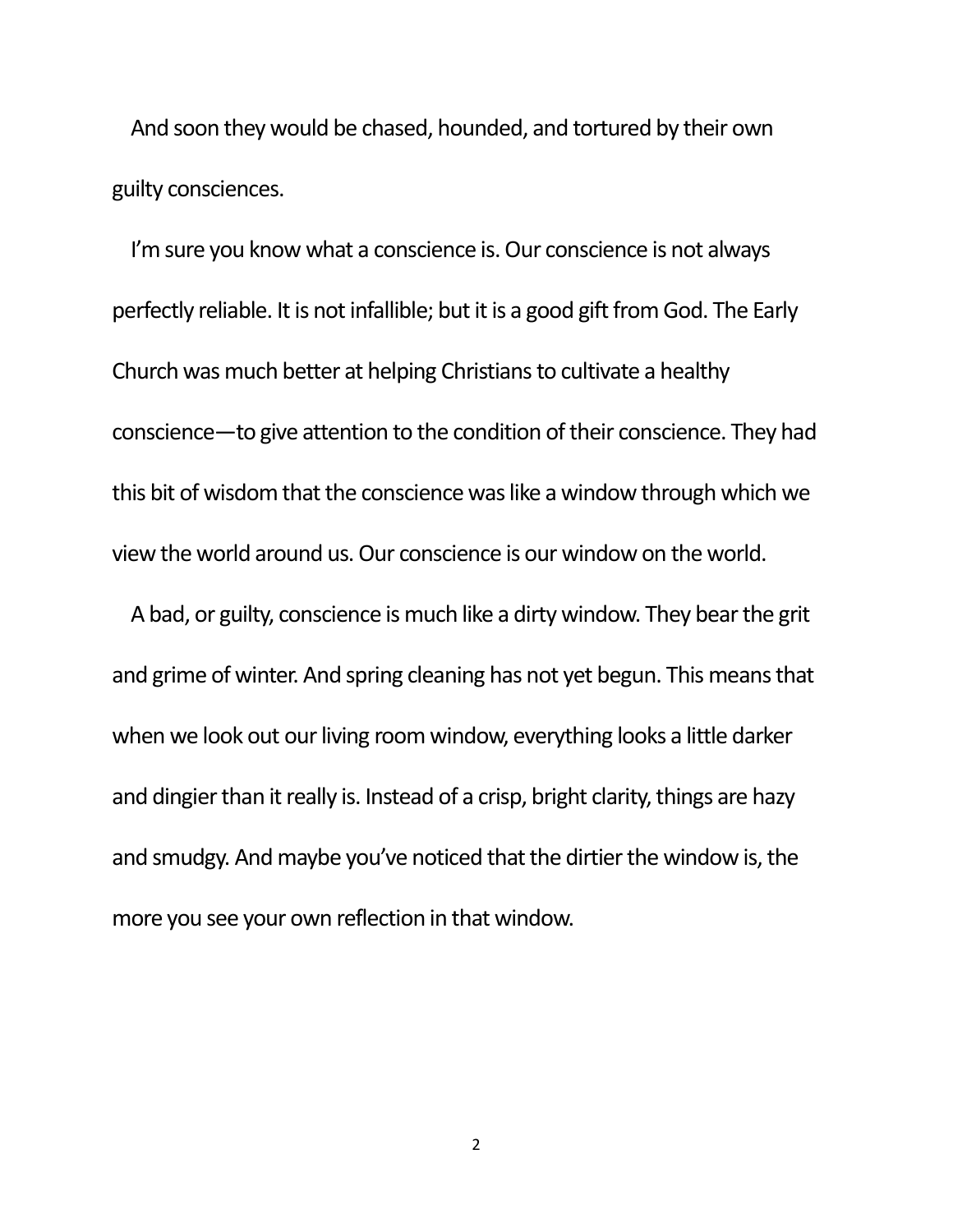And soon they would be chased, hounded, and tortured by their own guilty consciences.

I'm sure you know what a conscience is. Our conscience is not always perfectly reliable. It is not infallible; but it is a good gift from God. The Early Church was much better at helping Christians to cultivate a healthy conscience—to give attention to the condition of their conscience. They had this bit of wisdom that the conscience was like a window through which we view the world around us. Our conscience is our window on the world.

A bad, or guilty, conscience is much like a dirty window. They bear the grit and grime of winter. And spring cleaning has not yet begun. This means that when we look out our living room window, everything looks a little darker and dingier than it really is. Instead of a crisp, bright clarity, things are hazy and smudgy. And maybe you've noticed that the dirtier the window is, the more you see your own reflection in that window.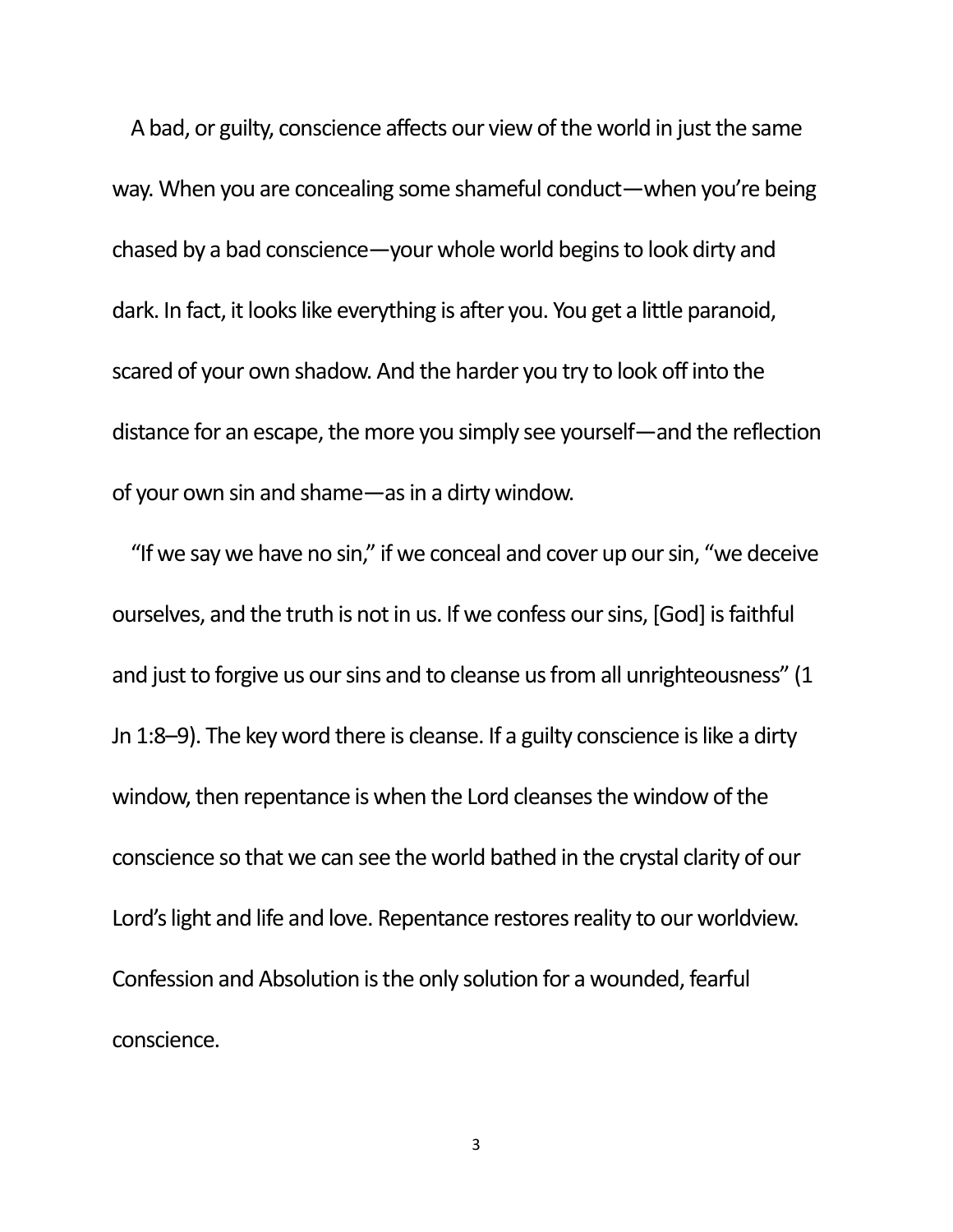A bad, or guilty, conscience affects our view of the world in just the same way. When you are concealing some shameful conduct—when you're being chased by a bad conscience—your whole world begins to look dirty and dark. In fact, it looks like everything is after you. You get a little paranoid, scared of your own shadow. And the harder you try to look off into the distance for an escape, the more you simply see yourself—and the reflection of your own sin and shame—as in a dirty window.

"If we say we have no sin," if we conceal and cover up our sin, "we deceive ourselves, and the truth is not in us. If we confess our sins, [God] is faithful and just to forgive us our sins and to cleanse us from all unrighteousness" (1 Jn 1:8–9). The key word there is cleanse. If a guilty conscience is like a dirty window, then repentance is when the Lord cleanses the window of the conscience so that we can see the world bathed in the crystal clarity of our Lord's light and life and love. Repentance restores reality to our worldview. Confession and Absolution is the only solution for a wounded, fearful conscience.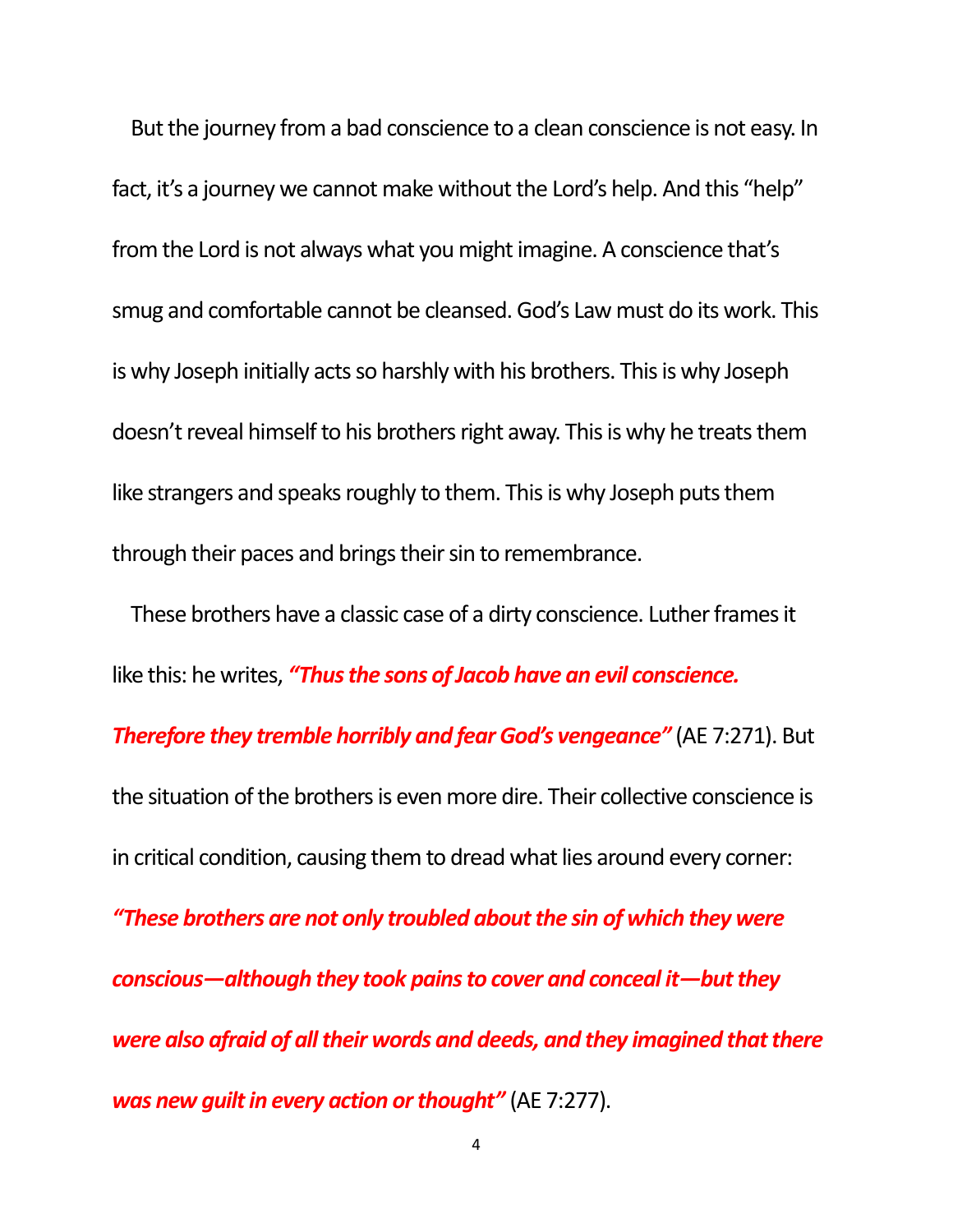But the journey from a bad conscience to a clean conscience is not easy. In fact, it's a journey we cannot make without the Lord's help. And this "help" from the Lord is not always what you might imagine. A conscience that's smug and comfortable cannot be cleansed. God's Law must do its work. This is why Joseph initially acts so harshly with his brothers. This is why Joseph doesn't reveal himself to his brothers right away. This is why he treats them like strangers and speaks roughly to them. This is why Joseph puts them through their paces and brings their sin to remembrance.

These brothers have a classic case of a dirty conscience. Luther frames it like this: he writes, *"Thus the sons of Jacob have an evil conscience. Therefore they tremble horribly and fear God's vengeance"* (AE 7:271). But the situation of the brothers is even more dire. Their collective conscience is in critical condition, causing them to dread what lies around every corner: *"These brothers are not only troubled about the sin of which they were conscious—although they took pains to cover and conceal it—but they were also afraid of all their words and deeds, and they imagined that there was new guilt in every action or thought"* (AE 7:277).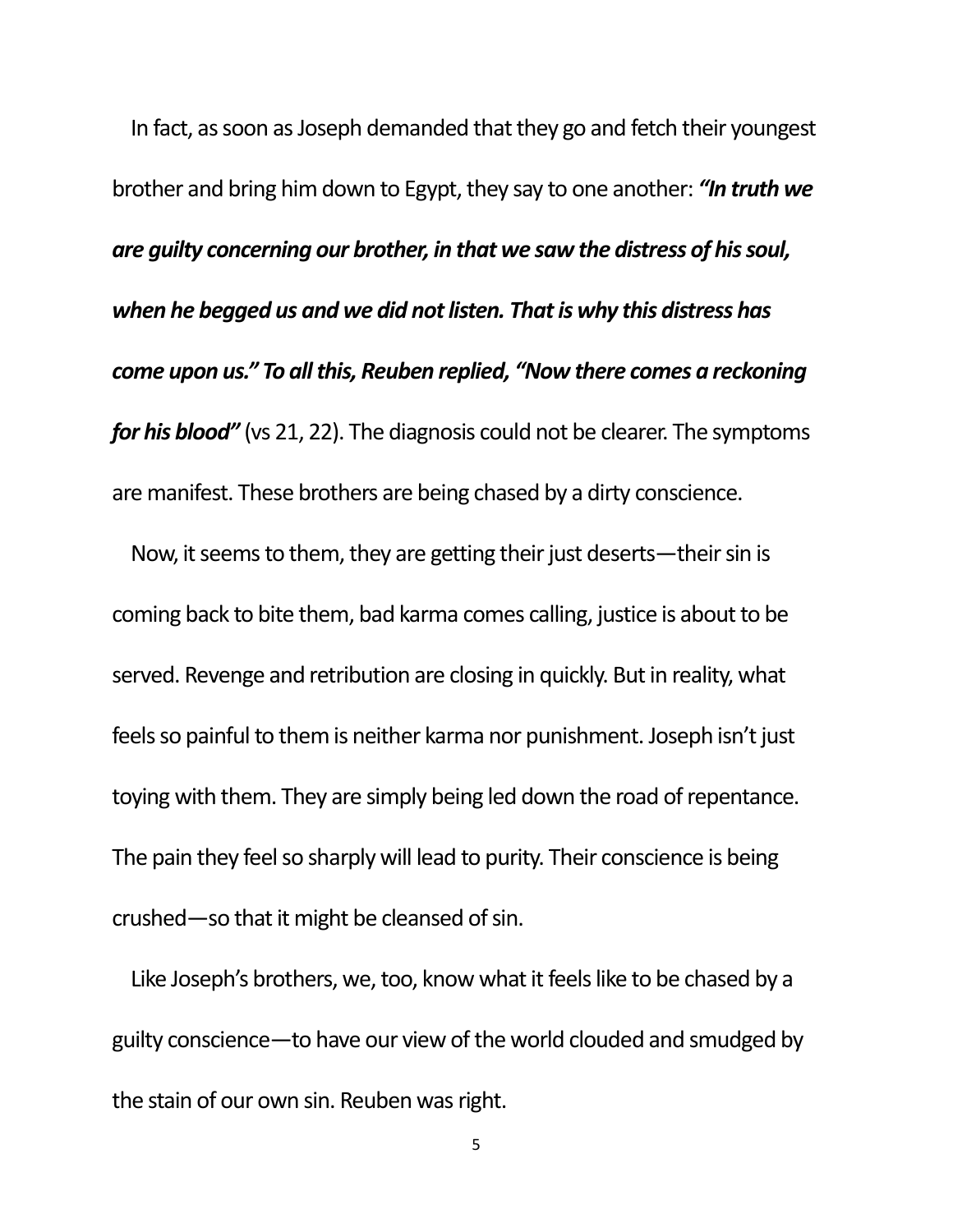In fact, as soon as Joseph demanded that they go and fetch their youngest brother and bring him down to Egypt, they say to one another: *"In truth we are guilty concerning our brother, in that we saw the distress of his soul, when he begged us and we did not listen. That is why this distress has come upon us." To all this, Reuben replied, "Now there comes a reckoning for his blood"* (vs 21, 22). The diagnosis could not be clearer. The symptoms are manifest. These brothers are being chased by a dirty conscience.

Now, it seems to them, they are getting their just deserts—their sin is coming back to bite them, bad karma comes calling, justice is about to be served. Revenge and retribution are closing in quickly. But in reality, what feels so painful to them is neither karma nor punishment. Joseph isn't just toying with them. They are simply being led down the road of repentance. The pain they feel so sharply will lead to purity. Their conscience is being crushed—so that it might be cleansed of sin.

Like Joseph's brothers, we, too, know what it feels like to be chased by a guilty conscience—to have our view of the world clouded and smudged by the stain of our own sin. Reuben was right.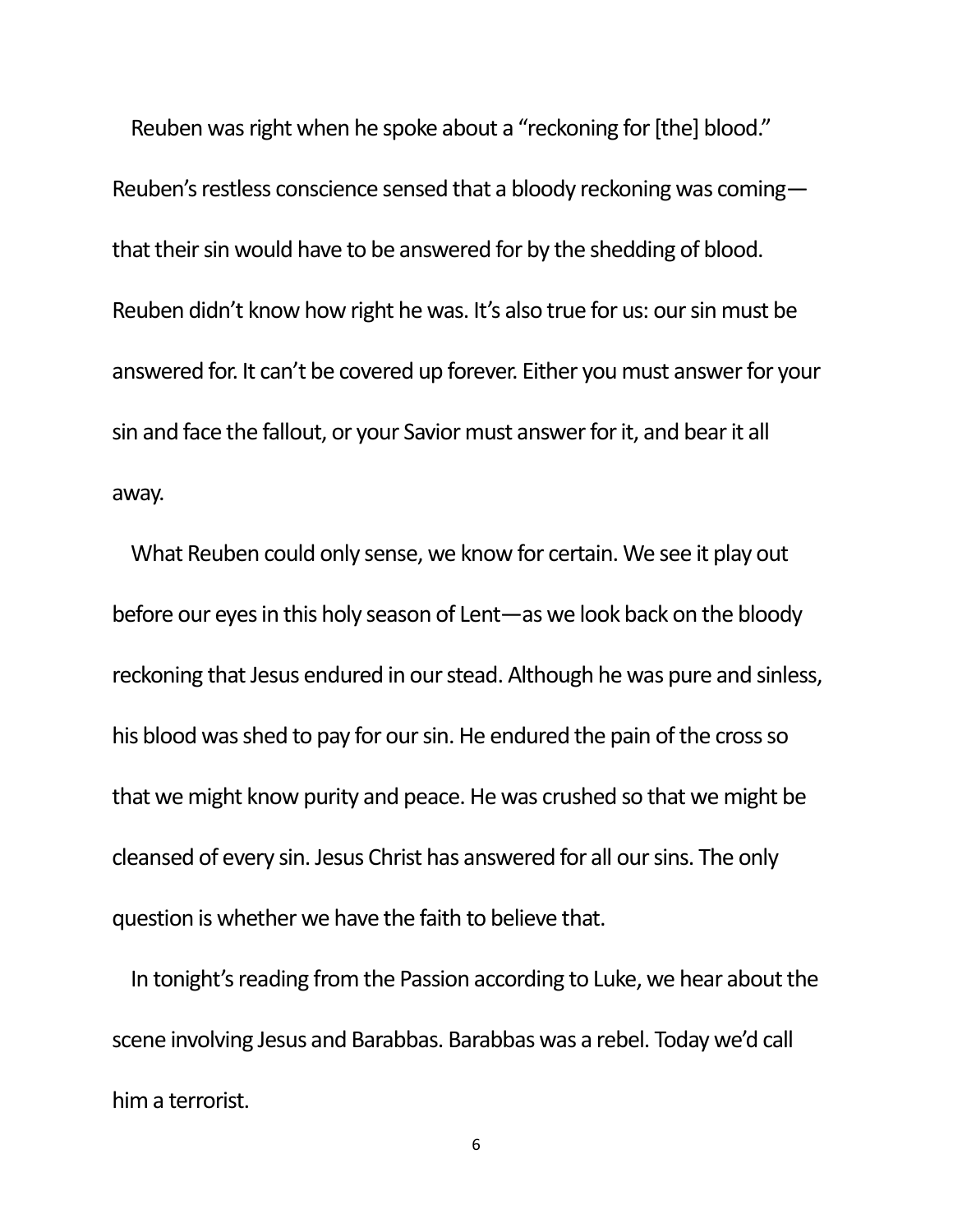Reuben was right when he spoke about a "reckoning for [the] blood." Reuben's restless conscience sensed that a bloody reckoning was coming that their sin would have to be answered for by the shedding of blood. Reuben didn't know how right he was. It's also true for us: our sin must be answered for. It can't be covered up forever. Either you must answer for your sin and face the fallout, or your Savior must answer for it, and bear it all away.

What Reuben could only sense, we know for certain. We see it play out before our eyes in this holy season of Lent—as we look back on the bloody reckoning that Jesus endured in our stead. Although he was pure and sinless, his blood was shed to pay for our sin. He endured the pain of the cross so that we might know purity and peace. He was crushed so that we might be cleansed of every sin. Jesus Christ has answered for all our sins. The only question is whether we have the faith to believe that.

In tonight's reading from the Passion according to Luke, we hear about the scene involving Jesus and Barabbas. Barabbas was a rebel. Today we'd call him a terrorist.